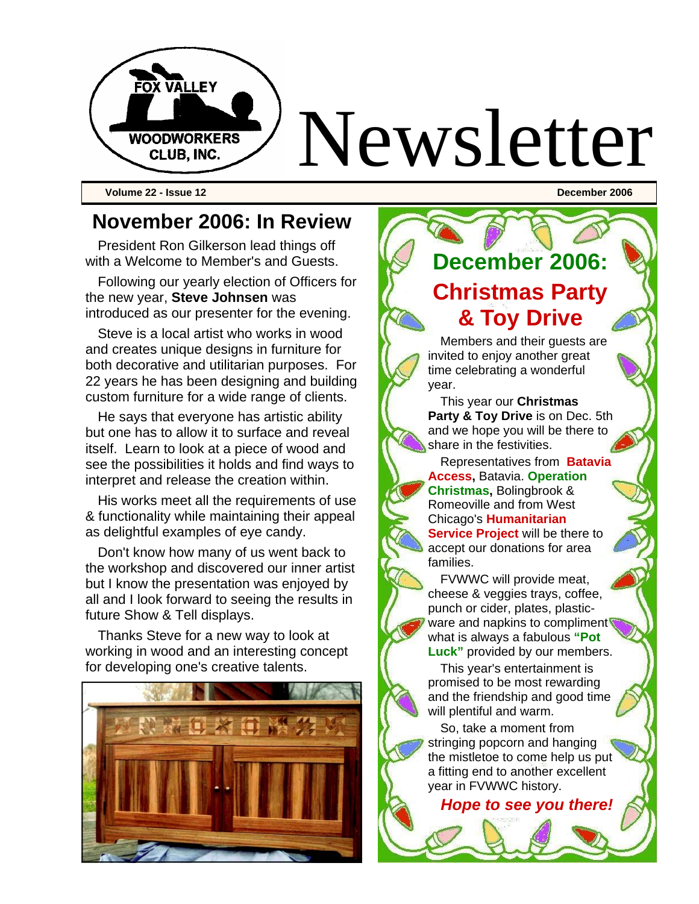

**Volume 22 - Issue 12 December 2006** 

### **November 2006: In Review**

President Ron Gilkerson lead things off with a Welcome to Member's and Guests.

Following our yearly election of Officers for the new year, **Steve Johnsen** was introduced as our presenter for the evening.

Steve is a local artist who works in wood and creates unique designs in furniture for both decorative and utilitarian purposes. For 22 years he has been designing and building custom furniture for a wide range of clients.

He says that everyone has artistic ability but one has to allow it to surface and reveal itself. Learn to look at a piece of wood and see the possibilities it holds and find ways to interpret and release the creation within.

His works meet all the requirements of use & functionality while maintaining their appeal as delightful examples of eye candy.

Don't know how many of us went back to the workshop and discovered our inner artist but I know the presentation was enjoyed by all and I look forward to seeing the results in future Show & Tell displays.

Thanks Steve for a new way to look at working in wood and an interesting concept for developing one's creative talents.



# **December 2006: Christmas Party & Toy Drive**

Members and their guests are invited to enjoy another great time celebrating a wonderful year.

This year our **Christmas Party & Toy Drive** is on Dec. 5th and we hope you will be there to share in the festivities.

Representatives from **Batavia Access,** Batavia. **Operation Christmas,** Bolingbrook & Romeoville and from West Chicago's **Humanitarian Service Project will be there to** accept our donations for area families.

FVWWC will provide meat, cheese & veggies trays, coffee, punch or cider, plates, plasticware and napkins to compliment what is always a fabulous **"Pot Luck"** provided by our members.

This year's entertainment is promised to be most rewarding and the friendship and good time will plentiful and warm.

So, take a moment from stringing popcorn and hanging the mistletoe to come help us put a fitting end to another excellent year in FVWWC history.

*Hope to see you there!*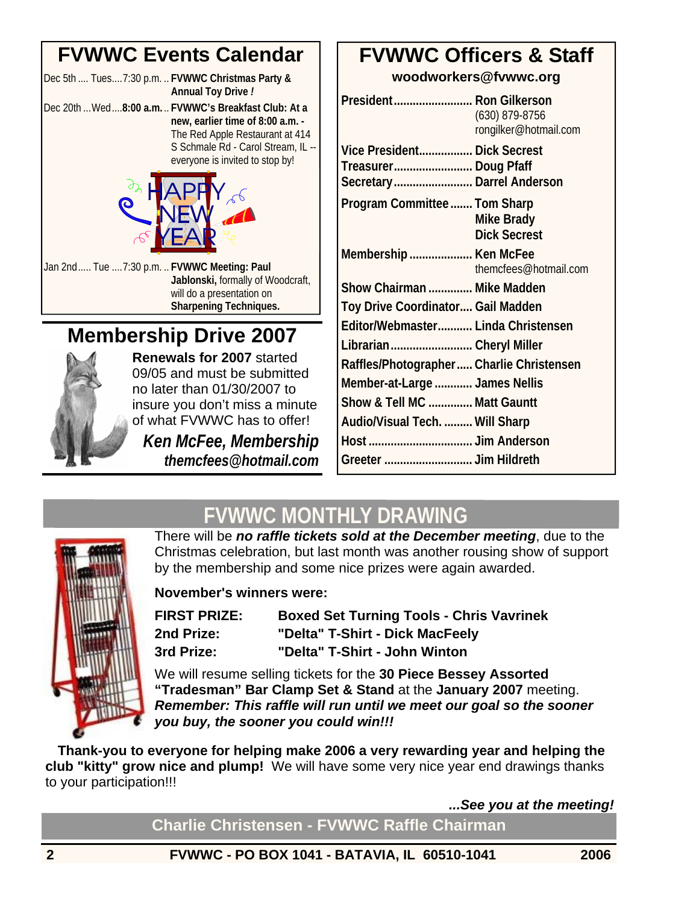### **FVWWC Events Calendar**

Dec 5th .... Tues....7:30 p.m. .. **FVWWC Christmas Party & Annual Toy Drive** *!*  Dec 20th ...Wed....**8:00 a.m.** .. **FVWWC's Breakfast Club: At a** 

**new, earlier time of 8:00 a.m. -**  The Red Apple Restaurant at 414 S Schmale Rd - Carol Stream, IL - everyone is invited to stop by!



Jan 2nd..... Tue ....7:30 p.m. .. **FVWWC Meeting: Paul Jablonski,** formally of Woodcraft, will do a presentation on **Sharpening Techniques.**

## **Membership Drive 2007**



**Renewals for 2007** started 09/05 and must be submitted no later than 01/30/2007 to insure you don't miss a minute of what FVWWC has to offer!

*Ken McFee, Membership themcfees@hotmail.com*

### **FVWWC Officers & Staff**

**woodworkers@fvwwc.org** 

| President Ron Gilkerson                  | $(630)$ 879-8756<br>rongilker@hotmail.com |
|------------------------------------------|-------------------------------------------|
| Vice President Dick Secrest              |                                           |
| Treasurer Doug Pfaff                     |                                           |
| Secretary Darrel Anderson                |                                           |
| Program Committee  Tom Sharp             |                                           |
|                                          | <b>Mike Brady</b>                         |
|                                          | <b>Dick Secrest</b>                       |
| Membership  Ken McFee                    |                                           |
|                                          | themcfees@hotmail.com                     |
| Show Chairman  Mike Madden               |                                           |
| Toy Drive Coordinator Gail Madden        |                                           |
| Editor/Webmaster Linda Christensen       |                                           |
| Librarian Cheryl Miller                  |                                           |
| Raffles/Photographer Charlie Christensen |                                           |
| Member-at-Large  James Nellis            |                                           |
| Show & Tell MC  Matt Gauntt              |                                           |
| Audio/Visual Tech.  Will Sharp           |                                           |
|                                          |                                           |
| Greeter  Jim Hildreth                    |                                           |

## **FVWWC MONTHLY DRAWING**



There will be *no raffle tickets sold at the December meeting*, due to the Christmas celebration, but last month was another rousing show of support by the membership and some nice prizes were again awarded.

**November's winners were:** 

| <b>FIRST PRIZE:</b> | <b>Boxed Set Turning Tools - Chris Vavrinek</b> |
|---------------------|-------------------------------------------------|
| 2nd Prize:          | "Delta" T-Shirt - Dick MacFeely                 |
| 3rd Prize:          | "Delta" T-Shirt - John Winton                   |

We will resume selling tickets for the **30 Piece Bessey Assorted "Tradesman" Bar Clamp Set & Stand** at the **January 2007** meeting. *Remember: This raffle will run until we meet our goal so the sooner you buy, the sooner you could win!!!* 

**Thank-you to everyone for helping make 2006 a very rewarding year and helping the club "kitty" grow nice and plump!** We will have some very nice year end drawings thanks to your participation!!!

*...See you at the meeting!* 

**Charlie Christensen - FVWWC Raffle Chairman**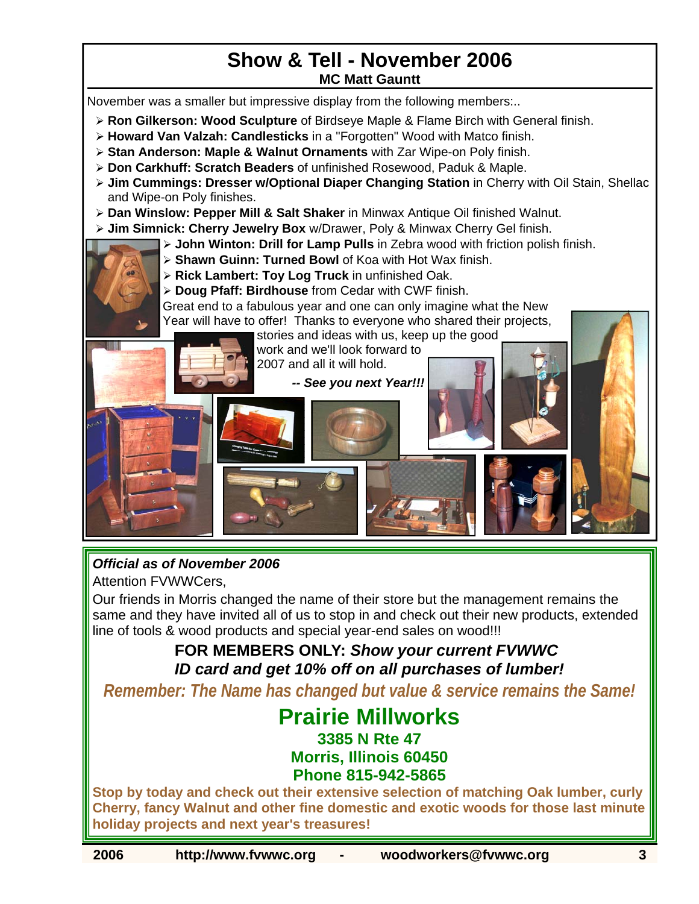#### **Show & Tell - November 2006 MC Matt Gauntt**

November was a smaller but impressive display from the following members:..

- ¾ **Ron Gilkerson: Wood Sculpture** of Birdseye Maple & Flame Birch with General finish.
- ¾ **Howard Van Valzah: Candlesticks** in a "Forgotten" Wood with Matco finish.
- ¾ **Stan Anderson: Maple & Walnut Ornaments** with Zar Wipe-on Poly finish.
- ¾ **Don Carkhuff: Scratch Beaders** of unfinished Rosewood, Paduk & Maple.
- ¾ **Jim Cummings: Dresser w/Optional Diaper Changing Station** in Cherry with Oil Stain, Shellac and Wipe-on Poly finishes.
- ¾ **Dan Winslow: Pepper Mill & Salt Shaker** in Minwax Antique Oil finished Walnut.
- ¾ **Jim Simnick: Cherry Jewelry Box** w/Drawer, Poly & Minwax Cherry Gel finish.
	- ¾ **John Winton: Drill for Lamp Pulls** in Zebra wood with friction polish finish.
	- ¾ **Shawn Guinn: Turned Bowl** of Koa with Hot Wax finish.
	- ¾ **Rick Lambert: Toy Log Truck** in unfinished Oak.
	- ¾ **Doug Pfaff: Birdhouse** from Cedar with CWF finish.

Great end to a fabulous year and one can only imagine what the New Year will have to offer! Thanks to everyone who shared their projects,

> stories and ideas with us, keep up the good work and we'll look forward to 2007 and all it will hold.

> > *-- See you next Year!!!*



*Official as of November 2006* 

Attention FVWWCers,

Our friends in Morris changed the name of their store but the management remains the same and they have invited all of us to stop in and check out their new products, extended line of tools & wood products and special year-end sales on wood!!!

#### **FOR MEMBERS ONLY:** *Show your current FVWWC ID card and get 10% off on all purchases of lumber!*

*Remember: The Name has changed but value & service remains the Same!* 

## **Prairie Millworks**

**3385 N Rte 47** 

#### **Morris, Illinois 60450 Phone 815-942-5865**

**Stop by today and check out their extensive selection of matching Oak lumber, curly Cherry, fancy Walnut and other fine domestic and exotic woods for those last minute holiday projects and next year's treasures!**